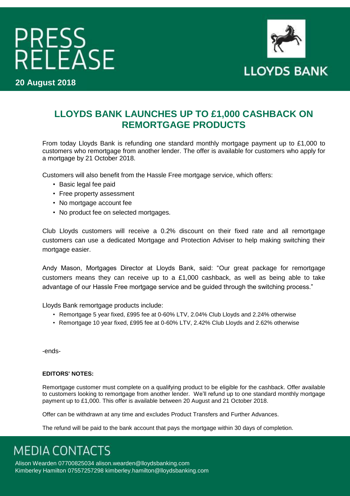# PRESS<br>RELEASE

**20 August 2018** 



### **LLOYDS BANK LAUNCHES UP TO £1,000 CASHBACK ON REMORTGAGE PRODUCTS**

From today Lloyds Bank is refunding one standard monthly mortgage payment up to £1,000 to customers who remortgage from another lender. The offer is available for customers who apply for a mortgage by 21 October 2018.

Customers will also benefit from the Hassle Free mortgage service, which offers:

- Basic legal fee paid
- Free property assessment
- No mortgage account fee
- No product fee on selected mortgages.

Club Lloyds customers will receive a 0.2% discount on their fixed rate and all remortgage customers can use a dedicated Mortgage and Protection Adviser to help making switching their mortgage easier.

Andy Mason, Mortgages Director at Lloyds Bank, said: "Our great package for remortgage customers means they can receive up to a £1,000 cashback, as well as being able to take advantage of our Hassle Free mortgage service and be guided through the switching process."

Lloyds Bank remortgage products include:

- Remortgage 5 year fixed, £995 fee at 0-60% LTV, 2.04% Club Lloyds and 2.24% otherwise
- Remortgage 10 year fixed, £995 fee at 0-60% LTV, 2.42% Club Lloyds and 2.62% otherwise

-ends-

#### **EDITORS' NOTES:**

Remortgage customer must complete on a qualifying product to be eligible for the cashback. Offer available to customers looking to remortgage from another lender. We'll refund up to one standard monthly mortgage payment up to £1,000. This offer is available between 20 August and 21 October 2018.

Offer can be withdrawn at any time and excludes Product Transfers and Further Advances.

The refund will be paid to the bank account that pays the mortgage within 30 days of completion.

**MEDIA CONTACTS** 

Alison Wearden 07700825034 alison.wearden@lloydsbanking.com Kimberley Hamilton 07557257298 kimberley.hamilton@lloydsbanking.com